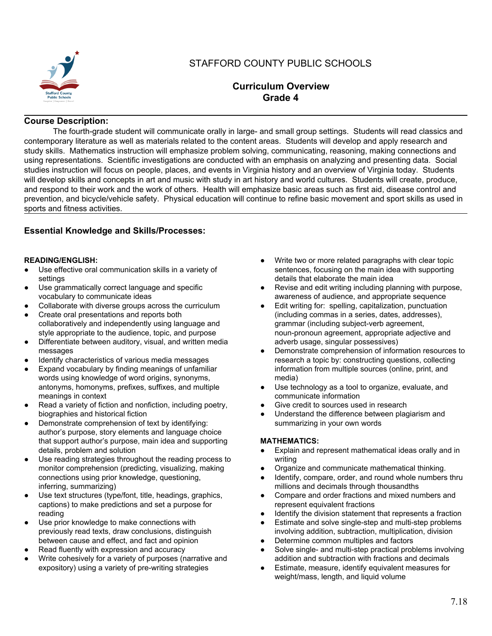

# STAFFORD COUNTY PUBLIC SCHOOLS

# **Curriculum Overview Grade 4**

# **Course Description:**

The fourth-grade student will communicate orally in large- and small group settings. Students will read classics and contemporary literature as well as materials related to the content areas. Students will develop and apply research and study skills. Mathematics instruction will emphasize problem solving, communicating, reasoning, making connections and using representations. Scientific investigations are conducted with an emphasis on analyzing and presenting data. Social studies instruction will focus on people, places, and events in Virginia history and an overview of Virginia today. Students will develop skills and concepts in art and music with study in art history and world cultures. Students will create, produce, and respond to their work and the work of others. Health will emphasize basic areas such as first aid, disease control and prevention, and bicycle/vehicle safety. Physical education will continue to refine basic movement and sport skills as used in sports and fitness activities.

# **Essential Knowledge and Skills/Processes:**

# **READING/ENGLISH:**

- Use effective oral communication skills in a variety of settings
- Use grammatically correct language and specific vocabulary to communicate ideas
- Collaborate with diverse groups across the curriculum
- Create oral presentations and reports both collaboratively and independently using language and style appropriate to the audience, topic, and purpose
- Differentiate between auditory, visual, and written media messages
- Identify characteristics of various media messages
- Expand vocabulary by finding meanings of unfamiliar words using knowledge of word origins, synonyms, antonyms, homonyms, prefixes, suffixes, and multiple meanings in context
- Read a variety of fiction and nonfiction, including poetry, biographies and historical fiction
- Demonstrate comprehension of text by identifying: author's purpose, story elements and language choice that support author's purpose, main idea and supporting details, problem and solution
- Use reading strategies throughout the reading process to monitor comprehension (predicting, visualizing, making connections using prior knowledge, questioning, inferring, summarizing)
- Use text structures (type/font, title, headings, graphics, captions) to make predictions and set a purpose for reading
- Use prior knowledge to make connections with previously read texts, draw conclusions, distinguish between cause and effect, and fact and opinion
- Read fluently with expression and accuracy
- Write cohesively for a variety of purposes (narrative and expository) using a variety of pre-writing strategies
- Write two or more related paragraphs with clear topic sentences, focusing on the main idea with supporting details that elaborate the main idea
- Revise and edit writing including planning with purpose, awareness of audience, and appropriate sequence
- Edit writing for: spelling, capitalization, punctuation (including commas in a series, dates, addresses), grammar (including subject-verb agreement, noun-pronoun agreement, appropriate adjective and adverb usage, singular possessives)
- Demonstrate comprehension of information resources to research a topic by: constructing questions, collecting information from multiple sources (online, print, and media)
- Use technology as a tool to organize, evaluate, and communicate information
- Give credit to sources used in research
- Understand the difference between plagiarism and summarizing in your own words

# **MATHEMATICS:**

- Explain and represent mathematical ideas orally and in writing
- Organize and communicate mathematical thinking.
- Identify, compare, order, and round whole numbers thru millions and decimals through thousandths
- Compare and order fractions and mixed numbers and represent equivalent fractions
- Identify the division statement that represents a fraction
- Estimate and solve single-step and multi-step problems involving addition, subtraction, multiplication, division
- Determine common multiples and factors
- Solve single- and multi-step practical problems involving addition and subtraction with fractions and decimals
- Estimate, measure, identify equivalent measures for weight/mass, length, and liquid volume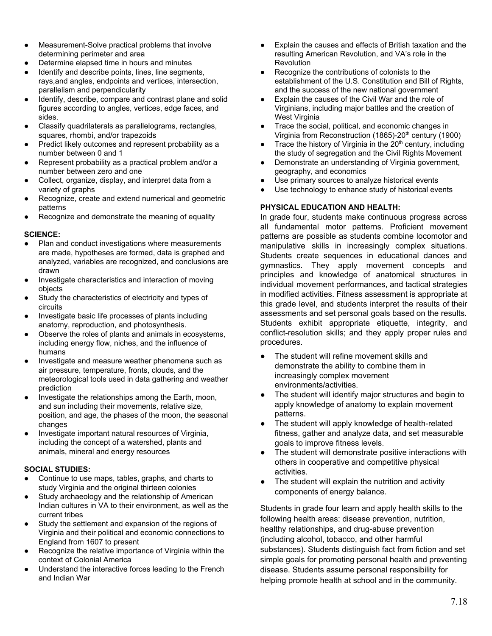- Measurement-Solve practical problems that involve determining perimeter and area
- Determine elapsed time in hours and minutes
- Identify and describe points, lines, line segments, rays,and angles, endpoints and vertices, intersection, parallelism and perpendicularity
- Identify, describe, compare and contrast plane and solid figures according to angles, vertices, edge faces, and sides.
- Classify quadrilaterals as parallelograms, rectangles, squares, rhombi, and/or trapezoids
- Predict likely outcomes and represent probability as a number between 0 and 1
- Represent probability as a practical problem and/or a number between zero and one
- Collect, organize, display, and interpret data from a variety of graphs
- Recognize, create and extend numerical and geometric patterns
- Recognize and demonstrate the meaning of equality

#### **SCIENCE:**

- Plan and conduct investigations where measurements are made, hypotheses are formed, data is graphed and analyzed, variables are recognized, and conclusions are drawn
- Investigate characteristics and interaction of moving objects
- Study the characteristics of electricity and types of circuits
- Investigate basic life processes of plants including anatomy, reproduction, and photosynthesis.
- Observe the roles of plants and animals in ecosystems, including energy flow, niches, and the influence of humans
- Investigate and measure weather phenomena such as air pressure, temperature, fronts, clouds, and the meteorological tools used in data gathering and weather prediction
- Investigate the relationships among the Earth, moon, and sun including their movements, relative size, position, and age, the phases of the moon, the seasonal changes
- Investigate important natural resources of Virginia, including the concept of a watershed, plants and animals, mineral and energy resources

# **SOCIAL STUDIES:**

- Continue to use maps, tables, graphs, and charts to study Virginia and the original thirteen colonies
- Study archaeology and the relationship of American Indian cultures in VA to their environment, as well as the current tribes
- Study the settlement and expansion of the regions of Virginia and their political and economic connections to England from 1607 to present
- Recognize the relative importance of Virginia within the context of Colonial America
- Understand the interactive forces leading to the French and Indian War
- Explain the causes and effects of British taxation and the resulting American Revolution, and VA's role in the **Revolution**
- Recognize the contributions of colonists to the establishment of the U.S. Constitution and Bill of Rights. and the success of the new national government
- Explain the causes of the Civil War and the role of Virginians, including major battles and the creation of West Virginia
- Trace the social, political, and economic changes in Virginia from Reconstruction (1865)-20<sup>th</sup> century (1900)
- $\bullet$  Trace the history of Virginia in the 20<sup>th</sup> century, including the study of segregation and the Civil Rights Movement
- Demonstrate an understanding of Virginia government, geography, and economics
- Use primary sources to analyze historical events
- Use technology to enhance study of historical events

# **PHYSICAL EDUCATION AND HEALTH:**

In grade four, students make continuous progress across all fundamental motor patterns. Proficient movement patterns are possible as students combine locomotor and manipulative skills in increasingly complex situations. Students create sequences in educational dances and gymnastics. They apply movement concepts and principles and knowledge of anatomical structures in individual movement performances, and tactical strategies in modified activities. Fitness assessment is appropriate at this grade level, and students interpret the results of their assessments and set personal goals based on the results. Students exhibit appropriate etiquette, integrity, and conflict-resolution skills; and they apply proper rules and procedures.

- The student will refine movement skills and demonstrate the ability to combine them in increasingly complex movement environments/activities.
- The student will identify major structures and begin to apply knowledge of anatomy to explain movement patterns.
- The student will apply knowledge of health-related fitness, gather and analyze data, and set measurable goals to improve fitness levels.
- The student will demonstrate positive interactions with others in cooperative and competitive physical activities.
- The student will explain the nutrition and activity components of energy balance.

Students in grade four learn and apply health skills to the following health areas: disease prevention, nutrition, healthy relationships, and drug-abuse prevention (including alcohol, tobacco, and other harmful substances). Students distinguish fact from fiction and set simple goals for promoting personal health and preventing disease. Students assume personal responsibility for helping promote health at school and in the community.